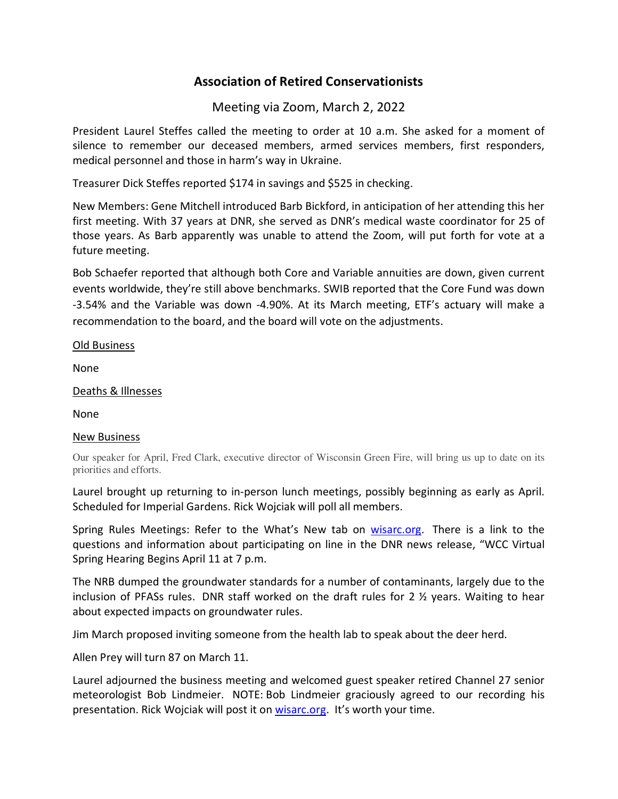## **Association of Retired Conservationists**

## Meeting via Zoom, March 2, 2022

President Laurel Steffes called the meeting to order at 10 a.m. She asked for a moment of silence to remember our deceased members, armed services members, first responders, medical personnel and those in harm's way in Ukraine.

Treasurer Dick Steffes reported \$174 in savings and \$525 in checking.

New Members: Gene Mitchell introduced Barb Bickford, in anticipation of her attending this her first meeting. With 37 years at DNR, she served as DNR's medical waste coordinator for 25 of those years. As Barb apparently was unable to attend the Zoom, will put forth for vote at a future meeting.

Bob Schaefer reported that although both Core and Variable annuities are down, given current events worldwide, they're still above benchmarks. SWIB reported that the Core Fund was down -3.54% and the Variable was down -4.90%. At its March meeting, ETF's actuary will make a recommendation to the board, and the board will vote on the adjustments.

Old Business

None

Deaths & Illnesses

None

## New Business

Our speaker for April, Fred Clark, executive director of Wisconsin Green Fire, will bring us up to date on its priorities and efforts.

Laurel brought up returning to in-person lunch meetings, possibly beginning as early as April. Scheduled for Imperial Gardens. Rick Wojciak will poll all members.

Spring Rules Meetings: Refer to the What's New tab on wisarc.org. There is a link to the questions and information about participating on line in the DNR news release, "WCC Virtual Spring Hearing Begins April 11 at 7 p.m.

The NRB dumped the groundwater standards for a number of contaminants, largely due to the inclusion of PFASs rules. DNR staff worked on the draft rules for 2 ½ years. Waiting to hear about expected impacts on groundwater rules.

Jim March proposed inviting someone from the health lab to speak about the deer herd.

Allen Prey will turn 87 on March 11.

Laurel adjourned the business meeting and welcomed guest speaker retired Channel 27 senior meteorologist Bob Lindmeier. NOTE: Bob Lindmeier graciously agreed to our recording his presentation. Rick Wojciak will post it on wisarc.org. It's worth your time.